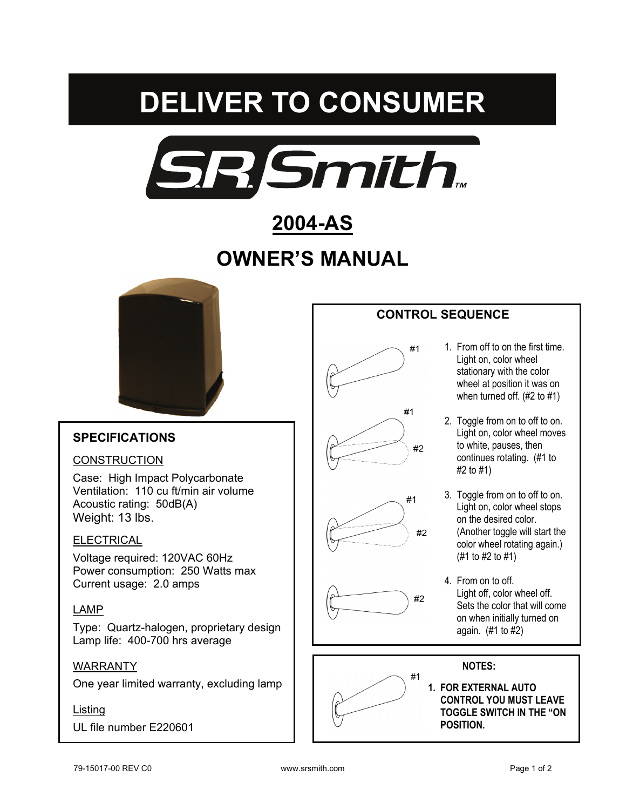# **DELIVER TO CONSUMER**



### **2004-AS**

### **OWNER'S MANUAL**



#### **SPECIFICATIONS**

#### **CONSTRUCTION**

Case: High Impact Polycarbonate Ventilation: 110 cu ft/min air volume Acoustic rating: 50dB(A) Weight: 13 lbs.

#### ELECTRICAL

Voltage required: 120VAC 60Hz Power consumption: 250 Watts max Current usage: 2.0 amps

#### LAMP

Type: Quartz-halogen, proprietary design Lamp life: 400-700 hrs average

#### WARRANTY

One year limited warranty, excluding lamp

#### Listing

UL file number E220601

### **CONTROL SEQUENCE**









- 1. From off to on the first time. Light on, color wheel stationary with the color wheel at position it was on when turned off. (#2 to #1)
- 2. Toggle from on to off to on. Light on, color wheel moves to white, pauses, then continues rotating. (#1 to #2 to #1)
- 3. Toggle from on to off to on. Light on, color wheel stops on the desired color. (Another toggle will start the color wheel rotating again.) (#1 to #2 to #1)
- 4. From on to off. Light off, color wheel off. Sets the color that will come on when initially turned on again. (#1 to #2)



**1. FOR EXTERNAL AUTO CONTROL YOU MUST LEAVE TOGGLE SWITCH IN THE "ON**